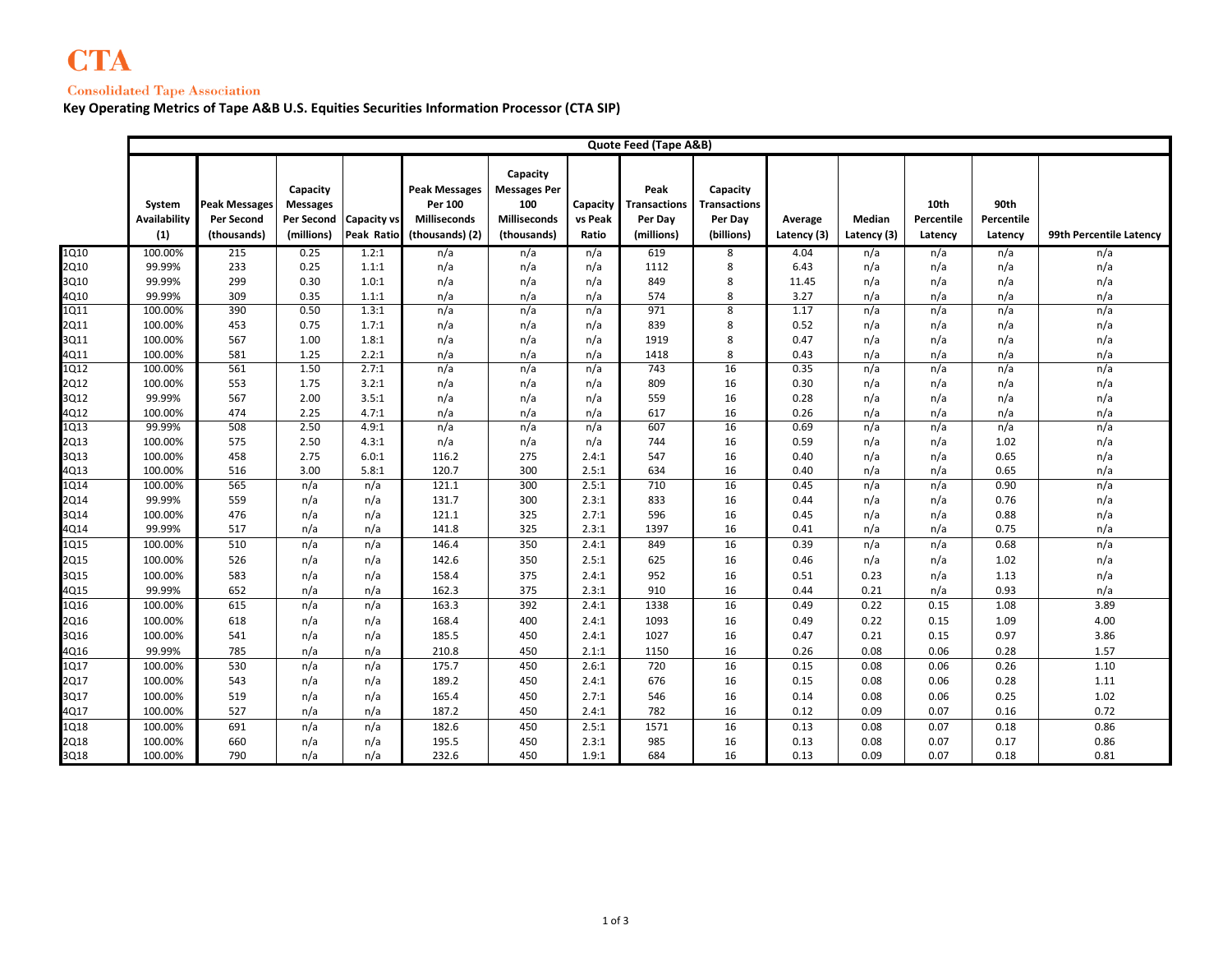# **Consolidated Tape Association**

**Key Operating Metrics of Tape A&B U.S. Equities Securities Information Processor (CTA SIP)**

|      | Quote Feed (Tape A&B)         |                                                   |                                           |                                      |                                                                           |                                                                              |                              |                                                      |                                                          |                        |                       |                               |                               |                         |
|------|-------------------------------|---------------------------------------------------|-------------------------------------------|--------------------------------------|---------------------------------------------------------------------------|------------------------------------------------------------------------------|------------------------------|------------------------------------------------------|----------------------------------------------------------|------------------------|-----------------------|-------------------------------|-------------------------------|-------------------------|
|      | System<br>Availability<br>(1) | <b>Peak Messages</b><br>Per Second<br>(thousands) | Capacity<br><b>Messages</b><br>(millions) | Per Second Capacity vs<br>Peak Ratio | <b>Peak Messages</b><br>Per 100<br><b>Milliseconds</b><br>(thousands) (2) | Capacity<br><b>Messages Per</b><br>100<br><b>Milliseconds</b><br>(thousands) | Capacity<br>vs Peak<br>Ratio | Peak<br><b>Transactions</b><br>Per Day<br>(millions) | Capacity<br><b>Transactions</b><br>Per Day<br>(billions) | Average<br>Latency (3) | Median<br>Latency (3) | 10th<br>Percentile<br>Latency | 90th<br>Percentile<br>Latency | 99th Percentile Latency |
| 1Q10 | 100.00%                       | 215                                               | 0.25                                      | 1.2:1                                | n/a                                                                       | n/a                                                                          | n/a                          | 619                                                  | 8                                                        | 4.04                   | n/a                   | n/a                           | n/a                           | n/a                     |
| 2Q10 | 99.99%                        | 233                                               | 0.25                                      | 1.1:1                                | n/a                                                                       | n/a                                                                          | n/a                          | 1112                                                 | 8                                                        | 6.43                   | n/a                   | n/a                           | n/a                           | n/a                     |
| 3Q10 | 99.99%                        | 299                                               | 0.30                                      | 1.0:1                                | n/a                                                                       | n/a                                                                          | n/a                          | 849                                                  | 8                                                        | 11.45                  | n/a                   | n/a                           | n/a                           | n/a                     |
| 4Q10 | 99.99%                        | 309                                               | 0.35                                      | 1.1:1                                | n/a                                                                       | n/a                                                                          | n/a                          | 574                                                  | 8                                                        | 3.27                   | n/a                   | n/a                           | n/a                           | n/a                     |
| 1Q11 | 100.00%                       | 390                                               | 0.50                                      | 1.3:1                                | n/a                                                                       | n/a                                                                          | n/a                          | 971                                                  | 8                                                        | 1.17                   | n/a                   | n/a                           | n/a                           | n/a                     |
| 2Q11 | 100.00%                       | 453                                               | 0.75                                      | 1.7:1                                | n/a                                                                       | n/a                                                                          | n/a                          | 839                                                  | 8                                                        | 0.52                   | n/a                   | n/a                           | n/a                           | n/a                     |
| 3Q11 | 100.00%                       | 567                                               | 1.00                                      | 1.8:1                                | n/a                                                                       | n/a                                                                          | n/a                          | 1919                                                 | 8                                                        | 0.47                   | n/a                   | n/a                           | n/a                           | n/a                     |
| 4Q11 | 100.00%                       | 581                                               | 1.25                                      | 2.2:1                                | n/a                                                                       | n/a                                                                          | n/a                          | 1418                                                 | 8                                                        | 0.43                   | n/a                   | n/a                           | n/a                           | n/a                     |
| 1Q12 | 100.00%                       | 561                                               | 1.50                                      | 2.7:1                                | n/a                                                                       | n/a                                                                          | n/a                          | 743                                                  | 16                                                       | 0.35                   | n/a                   | n/a                           | n/a                           | n/a                     |
| 2Q12 | 100.00%                       | 553                                               | 1.75                                      | 3.2:1                                | n/a                                                                       | n/a                                                                          | n/a                          | 809                                                  | 16                                                       | 0.30                   | n/a                   | n/a                           | n/a                           | n/a                     |
| 3Q12 | 99.99%                        | 567                                               | 2.00                                      | 3.5:1                                | n/a                                                                       | n/a                                                                          | n/a                          | 559                                                  | 16                                                       | 0.28                   | n/a                   | n/a                           | n/a                           | n/a                     |
| 4Q12 | 100.00%                       | 474                                               | 2.25                                      | 4.7:1                                | n/a                                                                       | n/a                                                                          | n/a                          | 617                                                  | 16                                                       | 0.26                   | n/a                   | n/a                           | n/a                           | n/a                     |
| 1Q13 | 99.99%                        | 508                                               | 2.50                                      | 4.9:1                                | n/a                                                                       | n/a                                                                          | n/a                          | 607                                                  | 16                                                       | 0.69                   | n/a                   | n/a                           | n/a                           | n/a                     |
| 2Q13 | 100.00%                       | 575                                               | 2.50                                      | 4.3:1                                | n/a                                                                       | n/a                                                                          | n/a                          | 744                                                  | 16                                                       | 0.59                   | n/a                   | n/a                           | 1.02                          | n/a                     |
| 3Q13 | 100.00%                       | 458                                               | 2.75                                      | 6.0:1                                | 116.2                                                                     | 275                                                                          | 2.4:1                        | 547                                                  | 16                                                       | 0.40                   | n/a                   | n/a                           | 0.65                          | n/a                     |
| 4Q13 | 100.00%                       | 516                                               | 3.00                                      | 5.8:1                                | 120.7                                                                     | 300                                                                          | 2.5:1                        | 634                                                  | 16                                                       | 0.40                   | n/a                   | n/a                           | 0.65                          | n/a                     |
| 1Q14 | 100.00%                       | 565                                               | n/a                                       | n/a                                  | 121.1                                                                     | 300                                                                          | 2.5:1                        | 710                                                  | 16                                                       | 0.45                   | n/a                   | n/a                           | 0.90                          | n/a                     |
| 2Q14 | 99.99%                        | 559                                               | n/a                                       | n/a                                  | 131.7                                                                     | 300                                                                          | 2.3:1                        | 833                                                  | 16                                                       | 0.44                   | n/a                   | n/a                           | 0.76                          | n/a                     |
| 3Q14 | 100.00%                       | 476                                               | n/a                                       | n/a                                  | 121.1                                                                     | 325                                                                          | 2.7:1                        | 596                                                  | 16                                                       | 0.45                   | n/a                   | n/a                           | 0.88                          | n/a                     |
| 4Q14 | 99.99%                        | 517                                               | n/a                                       | n/a                                  | 141.8                                                                     | 325                                                                          | 2.3:1                        | 1397                                                 | 16                                                       | 0.41                   | n/a                   | n/a                           | 0.75                          | n/a                     |
| 1Q15 | 100.00%                       | 510                                               | n/a                                       | n/a                                  | 146.4                                                                     | 350                                                                          | 2.4:1                        | 849                                                  | 16                                                       | 0.39                   | n/a                   | n/a                           | 0.68                          | n/a                     |
| 2Q15 | 100.00%                       | 526                                               | n/a                                       | n/a                                  | 142.6                                                                     | 350                                                                          | 2.5:1                        | 625                                                  | 16                                                       | 0.46                   | n/a                   | n/a                           | 1.02                          | n/a                     |
| 3Q15 | 100.00%                       | 583                                               | n/a                                       | n/a                                  | 158.4                                                                     | 375                                                                          | 2.4:1                        | 952                                                  | 16                                                       | 0.51                   | 0.23                  | n/a                           | 1.13                          | n/a                     |
| 4Q15 | 99.99%                        | 652                                               | n/a                                       | n/a                                  | 162.3                                                                     | 375                                                                          | 2.3:1                        | 910                                                  | 16                                                       | 0.44                   | 0.21                  | n/a                           | 0.93                          | n/a                     |
| 1Q16 | 100.00%                       | 615                                               | n/a                                       | n/a                                  | 163.3                                                                     | 392                                                                          | 2.4:1                        | 1338                                                 | 16                                                       | 0.49                   | 0.22                  | 0.15                          | 1.08                          | 3.89                    |
| 2Q16 | 100.00%                       | 618                                               | n/a                                       | n/a                                  | 168.4                                                                     | 400                                                                          | 2.4:1                        | 1093                                                 | 16                                                       | 0.49                   | 0.22                  | 0.15                          | 1.09                          | 4.00                    |
| 3Q16 | 100.00%                       | 541                                               | n/a                                       | n/a                                  | 185.5                                                                     | 450                                                                          | 2.4:1                        | 1027                                                 | 16                                                       | 0.47                   | 0.21                  | 0.15                          | 0.97                          | 3.86                    |
| 4Q16 | 99.99%                        | 785                                               | n/a                                       | n/a                                  | 210.8                                                                     | 450                                                                          | 2.1:1                        | 1150                                                 | 16                                                       | 0.26                   | 0.08                  | 0.06                          | 0.28                          | 1.57                    |
| 1Q17 | 100.00%                       | 530                                               | n/a                                       | n/a                                  | 175.7                                                                     | 450                                                                          | 2.6:1                        | 720                                                  | 16                                                       | 0.15                   | 0.08                  | 0.06                          | 0.26                          | 1.10                    |
| 2Q17 | 100.00%                       | 543                                               | n/a                                       | n/a                                  | 189.2                                                                     | 450                                                                          | 2.4:1                        | 676                                                  | 16                                                       | 0.15                   | 0.08                  | 0.06                          | 0.28                          | 1.11                    |
| 3Q17 | 100.00%                       | 519                                               | n/a                                       | n/a                                  | 165.4                                                                     | 450                                                                          | 2.7:1                        | 546                                                  | 16                                                       | 0.14                   | 0.08                  | 0.06                          | 0.25                          | 1.02                    |
| 4Q17 | 100.00%                       | 527                                               | n/a                                       | n/a                                  | 187.2                                                                     | 450                                                                          | 2.4:1                        | 782                                                  | 16                                                       | 0.12                   | 0.09                  | 0.07                          | 0.16                          | 0.72                    |
| 1Q18 | 100.00%                       | 691                                               | n/a                                       | n/a                                  | 182.6                                                                     | 450                                                                          | 2.5:1                        | 1571                                                 | 16                                                       | 0.13                   | 0.08                  | 0.07                          | 0.18                          | 0.86                    |
| 2Q18 | 100.00%                       | 660                                               | n/a                                       | n/a                                  | 195.5                                                                     | 450                                                                          | 2.3:1                        | 985                                                  | 16                                                       | 0.13                   | 0.08                  | 0.07                          | 0.17                          | 0.86                    |
| 3Q18 | 100.00%                       | 790                                               | n/a                                       | n/a                                  | 232.6                                                                     | 450                                                                          | 1.9:1                        | 684                                                  | 16                                                       | 0.13                   | 0.09                  | 0.07                          | 0.18                          | 0.81                    |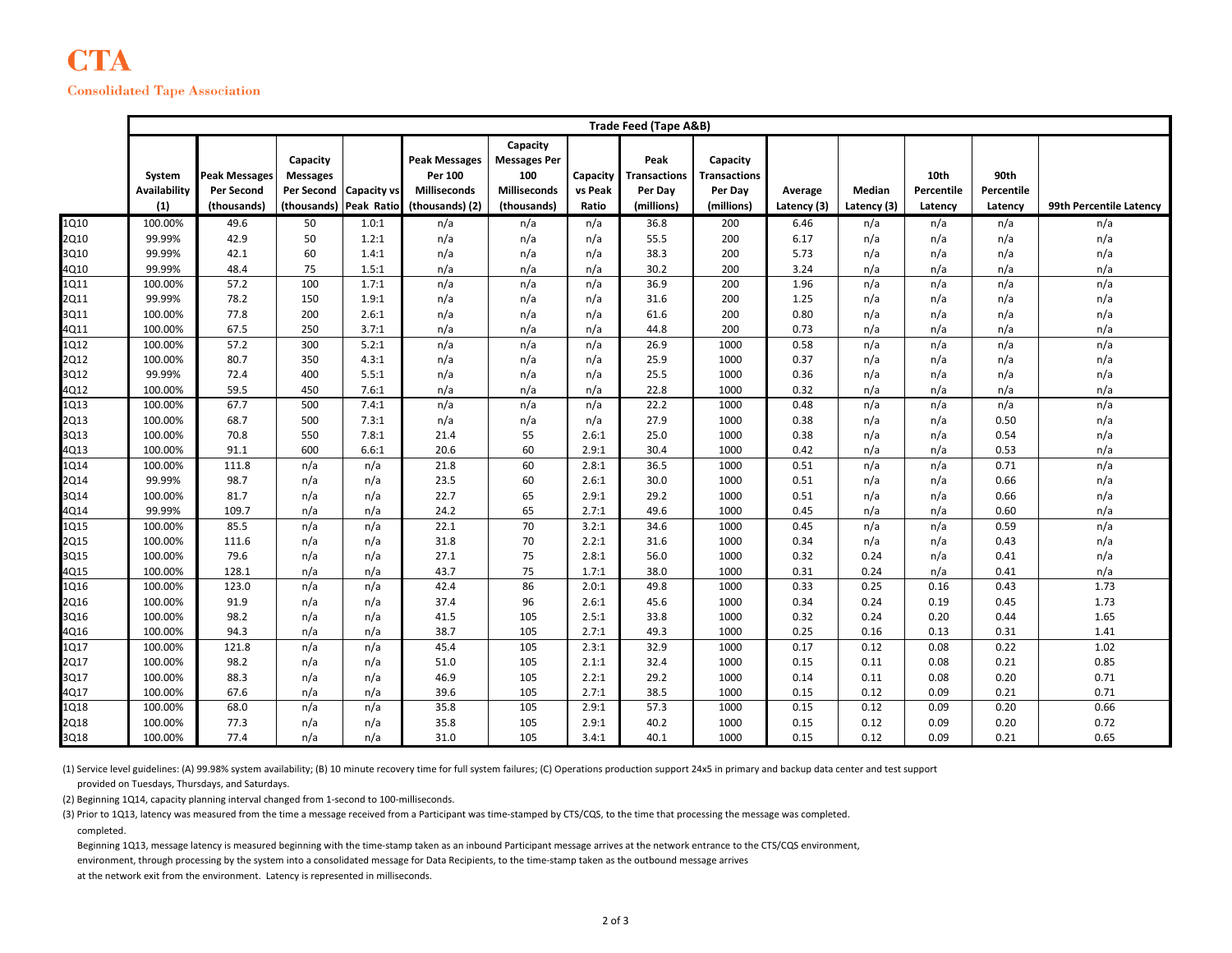# **CTA Consolidated Tape Association**

|             | Trade Feed (Tape A&B)         |                                                   |                                            |                                        |                                                                           |                                                                              |                              |                                                      |                                                          |                        |                       |                               |                               |                         |
|-------------|-------------------------------|---------------------------------------------------|--------------------------------------------|----------------------------------------|---------------------------------------------------------------------------|------------------------------------------------------------------------------|------------------------------|------------------------------------------------------|----------------------------------------------------------|------------------------|-----------------------|-------------------------------|-------------------------------|-------------------------|
|             | System<br>Availability<br>(1) | <b>Peak Messages</b><br>Per Second<br>(thousands) | Capacity<br><b>Messages</b><br>(thousands) | Per Second   Capacity vs<br>Peak Ratio | <b>Peak Messages</b><br>Per 100<br><b>Milliseconds</b><br>(thousands) (2) | Capacity<br><b>Messages Per</b><br>100<br><b>Milliseconds</b><br>(thousands) | Capacity<br>vs Peak<br>Ratio | Peak<br><b>Transactions</b><br>Per Day<br>(millions) | Capacity<br><b>Transactions</b><br>Per Day<br>(millions) | Average<br>Latency (3) | Median<br>Latency (3) | 10th<br>Percentile<br>Latency | 90th<br>Percentile<br>Latency | 99th Percentile Latency |
| 1Q10        | 100.00%                       | 49.6                                              | 50                                         | 1.0:1                                  | n/a                                                                       | n/a                                                                          | n/a                          | 36.8                                                 | 200                                                      | 6.46                   | n/a                   | n/a                           | n/a                           | n/a                     |
| 2Q10        | 99.99%                        | 42.9                                              | 50                                         | 1.2:1                                  | n/a                                                                       | n/a                                                                          | n/a                          | 55.5                                                 | 200                                                      | 6.17                   | n/a                   | n/a                           | n/a                           | n/a                     |
| 3Q10        | 99.99%                        | 42.1                                              | 60                                         | 1.4:1                                  | n/a                                                                       | n/a                                                                          | n/a                          | 38.3                                                 | 200                                                      | 5.73                   | n/a                   | n/a                           | n/a                           | n/a                     |
| 4Q10        | 99.99%                        | 48.4                                              | 75                                         | 1.5:1                                  | n/a                                                                       | n/a                                                                          | n/a                          | 30.2                                                 | 200                                                      | 3.24                   | n/a                   | n/a                           | n/a                           | n/a                     |
| 1Q11        | 100.00%                       | 57.2                                              | 100                                        | 1.7:1                                  | n/a                                                                       | n/a                                                                          | n/a                          | 36.9                                                 | 200                                                      | 1.96                   | n/a                   | n/a                           | n/a                           | n/a                     |
| 2Q11        | 99.99%                        | 78.2                                              | 150                                        | 1.9:1                                  | n/a                                                                       | n/a                                                                          | n/a                          | 31.6                                                 | 200                                                      | 1.25                   | n/a                   | n/a                           | n/a                           | n/a                     |
| 3Q11        | 100.00%                       | 77.8                                              | 200                                        | 2.6:1                                  | n/a                                                                       | n/a                                                                          | n/a                          | 61.6                                                 | 200                                                      | 0.80                   | n/a                   | n/a                           | n/a                           | n/a                     |
| 4Q11        | 100.00%                       | 67.5                                              | 250                                        | 3.7:1                                  | n/a                                                                       | n/a                                                                          | n/a                          | 44.8                                                 | 200                                                      | 0.73                   | n/a                   | n/a                           | n/a                           | n/a                     |
| 1Q12        | 100.00%                       | 57.2                                              | 300                                        | 5.2:1                                  | n/a                                                                       | n/a                                                                          | n/a                          | 26.9                                                 | 1000                                                     | 0.58                   | n/a                   | n/a                           | n/a                           | n/a                     |
| 2Q12        | 100.00%                       | 80.7                                              | 350                                        | 4.3:1                                  | n/a                                                                       | n/a                                                                          | n/a                          | 25.9                                                 | 1000                                                     | 0.37                   | n/a                   | n/a                           | n/a                           | n/a                     |
| 3Q12        | 99.99%                        | 72.4                                              | 400                                        | 5.5:1                                  | n/a                                                                       | n/a                                                                          | n/a                          | 25.5                                                 | 1000                                                     | 0.36                   | n/a                   | n/a                           | n/a                           | n/a                     |
| 4Q12        | 100.00%                       | 59.5                                              | 450                                        | 7.6:1                                  | n/a                                                                       | n/a                                                                          | n/a                          | 22.8                                                 | 1000                                                     | 0.32                   | n/a                   | n/a                           | n/a                           | n/a                     |
| 1Q13        | 100.00%                       | 67.7                                              | 500                                        | 7.4:1                                  | n/a                                                                       | n/a                                                                          | n/a                          | 22.2                                                 | 1000                                                     | 0.48                   | n/a                   | n/a                           | n/a                           | n/a                     |
| 2Q13        | 100.00%                       | 68.7                                              | 500                                        | 7.3:1                                  | n/a                                                                       | n/a                                                                          | n/a                          | 27.9                                                 | 1000                                                     | 0.38                   | n/a                   | n/a                           | 0.50                          | n/a                     |
| 3Q13        | 100.00%                       | 70.8                                              | 550                                        | 7.8:1                                  | 21.4                                                                      | 55                                                                           | 2.6:1                        | 25.0                                                 | 1000                                                     | 0.38                   | n/a                   | n/a                           | 0.54                          | n/a                     |
| 4Q13        | 100.00%                       | 91.1                                              | 600                                        | 6.6:1                                  | 20.6                                                                      | 60                                                                           | 2.9:1                        | 30.4                                                 | 1000                                                     | 0.42                   | n/a                   | n/a                           | 0.53                          | n/a                     |
| 1Q14        | 100.00%                       | 111.8                                             | n/a                                        | n/a                                    | 21.8                                                                      | 60                                                                           | 2.8:1                        | 36.5                                                 | 1000                                                     | 0.51                   | n/a                   | n/a                           | 0.71                          | n/a                     |
| 2Q14        | 99.99%                        | 98.7                                              | n/a                                        | n/a                                    | 23.5                                                                      | 60                                                                           | 2.6:1                        | 30.0                                                 | 1000                                                     | 0.51                   | n/a                   | n/a                           | 0.66                          | n/a                     |
| 3Q14        | 100.00%                       | 81.7                                              | n/a                                        | n/a                                    | 22.7                                                                      | 65                                                                           | 2.9:1                        | 29.2                                                 | 1000                                                     | 0.51                   | n/a                   | n/a                           | 0.66                          | n/a                     |
| 4Q14        | 99.99%                        | 109.7                                             | n/a                                        | n/a                                    | 24.2                                                                      | 65                                                                           | 2.7:1                        | 49.6                                                 | 1000                                                     | 0.45                   | n/a                   | n/a                           | 0.60                          | n/a                     |
| 1Q15        | 100.00%                       | 85.5                                              | n/a                                        | n/a                                    | 22.1                                                                      | 70                                                                           | 3.2:1                        | 34.6                                                 | 1000                                                     | 0.45                   | n/a                   | n/a                           | 0.59                          | n/a                     |
| 2Q15        | 100.00%                       | 111.6                                             | n/a                                        | n/a                                    | 31.8                                                                      | 70                                                                           | 2.2:1                        | 31.6                                                 | 1000                                                     | 0.34                   | n/a                   | n/a                           | 0.43                          | n/a                     |
| 3Q15        | 100.00%                       | 79.6                                              | n/a                                        | n/a                                    | 27.1                                                                      | 75                                                                           | 2.8:1                        | 56.0                                                 | 1000                                                     | 0.32                   | 0.24                  | n/a                           | 0.41                          | n/a                     |
| 4Q15        | 100.00%                       | 128.1                                             | n/a                                        | n/a                                    | 43.7                                                                      | 75                                                                           | 1.7:1                        | 38.0                                                 | 1000                                                     | 0.31                   | 0.24                  | n/a                           | 0.41                          | n/a                     |
| 1Q16        | 100.00%                       | 123.0                                             | n/a                                        | n/a                                    | 42.4                                                                      | 86                                                                           | 2.0:1                        | 49.8                                                 | 1000                                                     | 0.33                   | 0.25                  | 0.16                          | 0.43                          | 1.73                    |
| 2Q16        | 100.00%                       | 91.9                                              | n/a                                        | n/a                                    | 37.4                                                                      | 96                                                                           | 2.6:1                        | 45.6                                                 | 1000                                                     | 0.34                   | 0.24                  | 0.19                          | 0.45                          | 1.73                    |
| 3Q16        | 100.00%                       | 98.2                                              | n/a                                        | n/a                                    | 41.5                                                                      | 105                                                                          | 2.5:1                        | 33.8                                                 | 1000                                                     | 0.32                   | 0.24                  | 0.20                          | 0.44                          | 1.65                    |
| 4Q16        | 100.00%                       | 94.3                                              | n/a                                        | n/a                                    | 38.7                                                                      | 105                                                                          | 2.7:1                        | 49.3                                                 | 1000                                                     | 0.25                   | 0.16                  | 0.13                          | 0.31                          | 1.41                    |
| 1Q17        | 100.00%                       | 121.8                                             | n/a                                        | n/a                                    | 45.4                                                                      | 105                                                                          | 2.3:1                        | 32.9                                                 | 1000                                                     | 0.17                   | 0.12                  | 0.08                          | 0.22                          | $1.02\,$                |
| 2Q17        | 100.00%                       | 98.2                                              | n/a                                        | n/a                                    | 51.0                                                                      | 105                                                                          | 2.1:1                        | 32.4                                                 | 1000                                                     | 0.15                   | 0.11                  | 0.08                          | 0.21                          | 0.85                    |
| 3Q17        | 100.00%                       | 88.3                                              | n/a                                        | n/a                                    | 46.9                                                                      | 105                                                                          | 2.2:1                        | 29.2                                                 | 1000                                                     | 0.14                   | 0.11                  | 0.08                          | 0.20                          | 0.71                    |
| 4Q17        | 100.00%                       | 67.6                                              | n/a                                        | n/a                                    | 39.6                                                                      | 105                                                                          | 2.7:1                        | 38.5                                                 | 1000                                                     | 0.15                   | 0.12                  | 0.09                          | 0.21                          | 0.71                    |
| 1Q18        | 100.00%                       | 68.0                                              | n/a                                        | n/a                                    | 35.8                                                                      | 105                                                                          | 2.9:1                        | 57.3                                                 | 1000                                                     | 0.15                   | 0.12                  | 0.09                          | 0.20                          | 0.66                    |
| <b>2Q18</b> | 100.00%                       | 77.3                                              | n/a                                        | n/a                                    | 35.8                                                                      | 105                                                                          | 2.9:1                        | 40.2                                                 | 1000                                                     | 0.15                   | 0.12                  | 0.09                          | 0.20                          | 0.72                    |
| 3Q18        | 100.00%                       | 77.4                                              | n/a                                        | n/a                                    | 31.0                                                                      | 105                                                                          | 3.4:1                        | 40.1                                                 | 1000                                                     | 0.15                   | 0.12                  | 0.09                          | 0.21                          | 0.65                    |

(1) Service level guidelines: (A) 99.98% system availability; (B) 10 minute recovery time for full system failures; (C) Operations production support 24x5 in primary and backup data center and test support

provided on Tuesdays, Thursdays, and Saturdays. (2) Beginning 1Q14, capacity planning interval changed from 1-second to 100-milliseconds.

(3) Prior to 1Q13, latency was measured from the time a message received from a Participant was time-stamped by CTS/CQS, to the time that processing the message was completed.

completed.

Beginning 1Q13, message latency is measured beginning with the time-stamp taken as an inbound Participant message arrives at the network entrance to the CTS/CQS environment,

environment, through processing by the system into a consolidated message for Data Recipients, to the time-stamp taken as the outbound message arrives

at the network exit from the environment. Latency is represented in milliseconds.